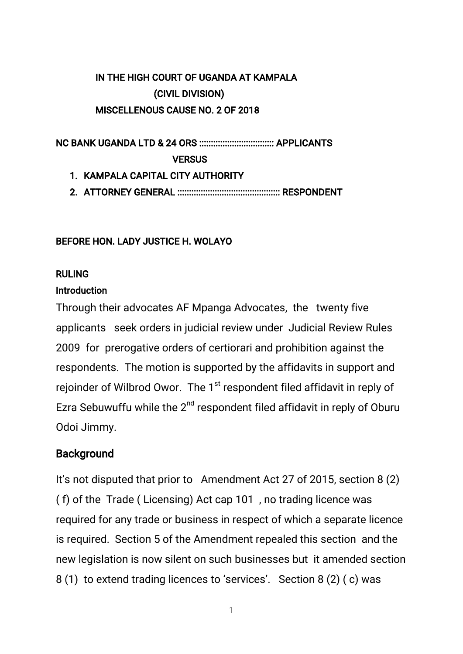## IN THE HIGH COURT OF UGANDA AT KAMPALA (CIVIL DIVISION) MISCELLENOUS CAUSE NO. 2 OF 2018

**VERSUS** 

- 1. KAMPALA CAPITAL CITY AUTHORITY
- 

#### BEFORE HON. LADY JUSTICE H. WOLAYO

#### **RULING**

#### Introduction

Through their advocates AF Mpanga Advocates, the twenty five applicants seek orders in judicial review under Judicial Review Rules 2009 for prerogative orders of certiorari and prohibition against the respondents. The motion is supported by the affidavits in support and rejoinder of Wilbrod Owor. The 1<sup>st</sup> respondent filed affidavit in reply of Ezra Sebuwuffu while the 2<sup>nd</sup> respondent filed affidavit in reply of Oburu Odoi Jimmy.

### **Background**

It's not disputed that prior to Amendment Act 27 of 2015, section 8 (2) (f) of the Trade (Licensing) Act cap 101, no trading licence was required for any trade or business in respect of which a separate licence is required. Section 5 of the Amendment repealed this section and the new legislation is now silent on such businesses but it amended section 8(1) to extend trading licences to 'services'. Section 8(2) (c) was

 $\overline{1}$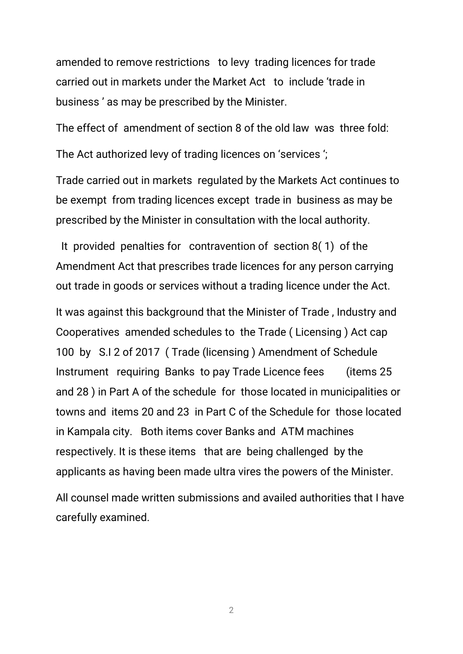amended to remove restrictions to levy trading licences for trade carried out in markets under the Market Act to include 'trade in business' as may be prescribed by the Minister.

The effect of amendment of section 8 of the old law was three fold:

The Act authorized levy of trading licences on 'services';

Trade carried out in markets regulated by the Markets Act continues to be exempt from trading licences except trade in business as may be prescribed by the Minister in consultation with the local authority.

It provided penalties for contravention of section  $8(1)$  of the Amendment Act that prescribes trade licences for any person carrying out trade in goods or services without a trading licence under the Act.

It was against this background that the Minister of Trade, Industry and Cooperatives amended schedules to the Trade (Licensing) Act cap 100 by S.I 2 of 2017 (Trade (licensing) Amendment of Schedule Instrument requiring Banks to pay Trade Licence fees (items 25) and 28) in Part A of the schedule for those located in municipalities or towns and items 20 and 23 in Part C of the Schedule for those located in Kampala city. Both items cover Banks and ATM machines respectively. It is these items that are being challenged by the applicants as having been made ultra vires the powers of the Minister.

All counsel made written submissions and availed authorities that I have carefully examined.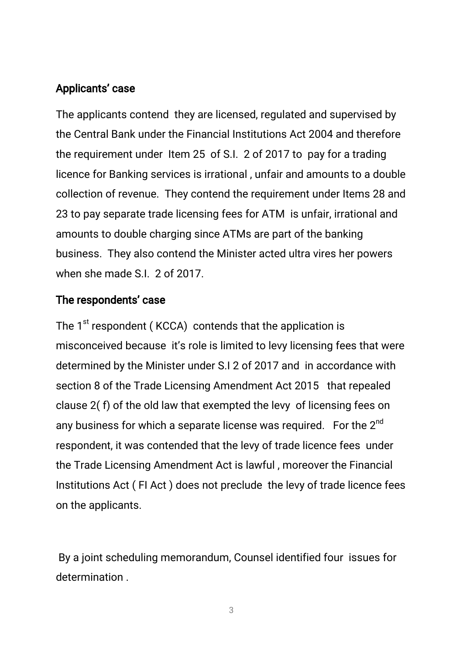### Applicants' case

The applicants contend they are licensed, regulated and supervised by the Central Bank under the Financial Institutions Act 2004 and therefore the requirement under Item 25 of S.I. 2 of 2017 to pay for a trading licence for Banking services is irrational, unfair and amounts to a double collection of revenue. They contend the requirement under Items 28 and 23 to pay separate trade licensing fees for ATM is unfair, irrational and amounts to double charging since ATMs are part of the banking business. They also contend the Minister acted ultra vires her powers when she made S.I. 2 of 2017.

### The respondents' case

The  $1^{st}$  respondent (KCCA) contends that the application is misconceived because it's role is limited to levy licensing fees that were determined by the Minister under S.I 2 of 2017 and in accordance with section 8 of the Trade Licensing Amendment Act 2015 that repealed clause 2(f) of the old law that exempted the levy of licensing fees on any business for which a separate license was required. For the  $2^{nd}$ respondent, it was contended that the levy of trade licence fees under the Trade Licensing Amendment Act is lawful, moreover the Financial Institutions Act (FI Act) does not preclude the levy of trade licence fees on the applicants.

By a joint scheduling memorandum, Counsel identified four issues for determination.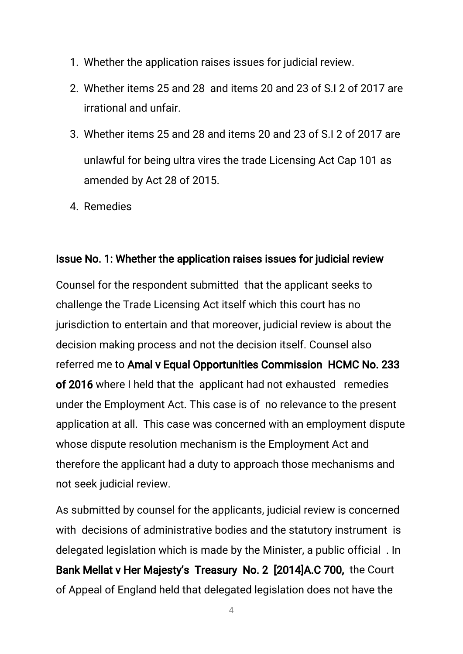- 1. Whether the application raises issues for judicial review.
- 2. Whether items 25 and 28 and items 20 and 23 of S.I 2 of 2017 are irrational and unfair.
- 3.Whetheritems25and28anditems20and23ofS.I2of2017are unlawful for being ultra vires the trade Licensing Act Cap 101 as amended by Act 28 of 2015.
- 4.Remedies

### Issue No. 1: Whether the application raises issues for judicial review

Counsel for the respondent submitted that the applicant seeks to challenge the Trade Licensing Act itself which this court has no jurisdiction to entertain and that moreover, judicial review is about the decision making process and not the decision itself. Counsel also referred me to Amal v Equal Opportunities Commission HCMC No. 233 of 2016 where I held that the applicant had not exhausted remedies under the Employment Act. This case is of no relevance to the present application at all. This case was concerned with an employment dispute whose dispute resolution mechanism is the Employment Act and therefore the applicant had a duty to approach those mechanisms and not seek judicial review.

As submitted by counsel for the applicants, judicial review is concerned with decisions of administrative bodies and the statutory instrument is delegated legislation which is made by the Minister, a public official. In Bank Mellat v Her Majesty's Treasury No. 2 [2014]A.C 700, the Court of Appeal of England held that delegated legislation does not have the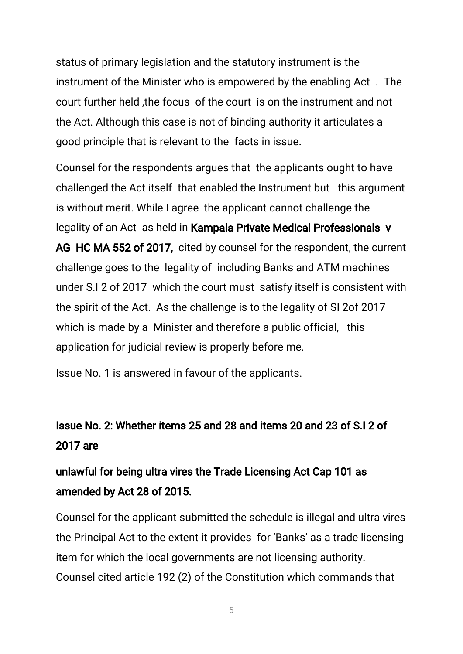status of primary legislation and the statutory instrument is the instrument of the Minister who is empowered by the enabling Act. The court further held, the focus of the court is on the instrument and not the Act. Although this case is not of binding authority it articulates a good principle that is relevant to the facts in issue.

Counsel for the respondents argues that the applicants ought to have challenged the Act itself that enabled the Instrument but this argument is without merit. While I agree the applicant cannot challenge the legality of an Act as held in Kampala Private Medical Professionals v AG HCMA 552 of 2017, cited by counsel for the respondent, the current challenge goes to the legality of including Banks and ATM machines under S.I 2 of 2017 which the court must satisfy itself is consistent with the spirit of the Act. As the challenge is to the legality of SI 2of 2017 which is made by a Minister and therefore a public official, this application for judicial review is properly before me.

Issue No. 1 is answered in favour of the applicants.

## IssueNo.2:Whetheritems25and28anditems20and23ofS.I2of 2017are

# unlawful for being ultra vires the Trade Licensing Act Cap 101 as amended by Act 28 of 2015.

Counsel for the applicant submitted the schedule is illegal and ultra vires the Principal Act to the extent it provides for 'Banks' as a trade licensing item for which the local governments are not licensing authority. Counsel cited article 192 (2) of the Constitution which commands that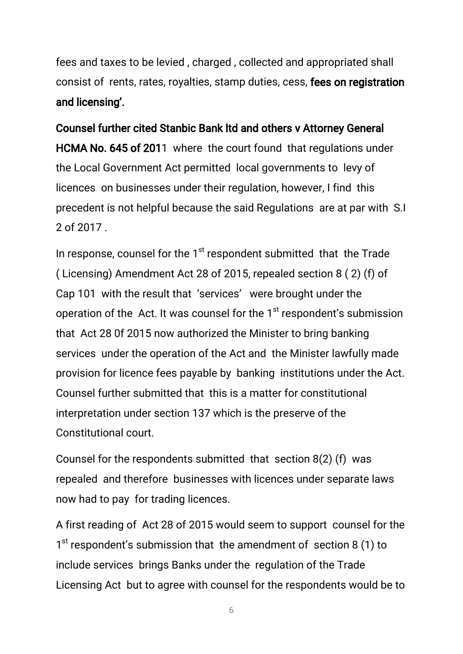fees and taxes to be levied, charged, collected and appropriated shall consist of rents, rates, royalties, stamp duties, cess, fees on registration and licensing'.

Counsel further cited Stanbic Bank ltd and others v Attorney General HCMA No. 645 of 2011 where the court found that regulations under the Local Government Act permitted local governments to levy of licences on businesses under their regulation, however, I find this precedent is not helpful because the said Regulations are at par with S.I 2of2017.

In response, counsel for the 1<sup>st</sup> respondent submitted that the Trade (Licensing) Amendment Act 28 of 2015, repealed section 8  $(2)$  (f) of Cap 101 with the result that 'services' were brought under the operation of the Act. It was counsel for the 1<sup>st</sup> respondent's submission that Act 28 Of 2015 now authorized the Minister to bring banking services under the operation of the Act and the Minister lawfully made provision for licence fees payable by banking institutions under the Act. Counsel further submitted that this is a matter for constitutional interpretation under section 137 which is the preserve of the Constitutional court.

Counsel for the respondents submitted that section  $8(2)$  (f) was repealed and therefore businesses with licences under separate laws now had to pay for trading licences.

A first reading of Act 28 of 2015 would seem to support counsel for the  $1<sup>st</sup>$  respondent's submission that the amendment of section 8 (1) to include services brings Banks under the regulation of the Trade Licensing Act but to agree with counsel for the respondents would be to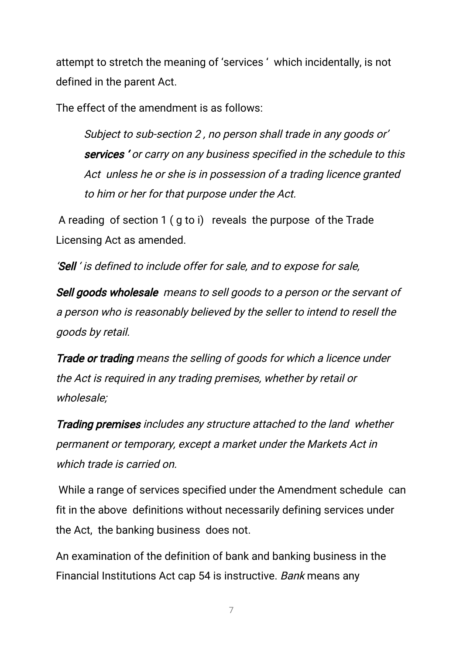attempt to stretch the meaning of 'services' which incidentally, is not defined in the parent Act.

The effect of the amendment is as follows:

Subject to sub-section 2, no person shall trade in any goods or' services' or carry on any business specified in the schedule to this Act unless he or she is in possession of a trading licence granted to him or her for that purpose under the Act.

A reading of section  $1$  (g to i) reveals the purpose of the Trade Licensing Act as amended.

'Sell' is defined to include offer for sale, and to expose for sale,

Sell goods wholesale means to sell goods to a person or the servant of a person who is reasonably believed by the seller to intend to resell the goods by retail.

Trade or trading means the selling of goods for which a licence under the Act is required in any trading premises, whether by retail or wholesale;

Trading premises includes any structure attached to the land whether permanent or temporary, except a market under the Markets Act in which trade is carried on

While a range of services specified under the Amendment schedule can fit in the above definitions without necessarily defining services under the Act, the banking business does not.

An examination of the definition of bank and banking business in the Financial Institutions Act cap 54 is instructive. Bank means any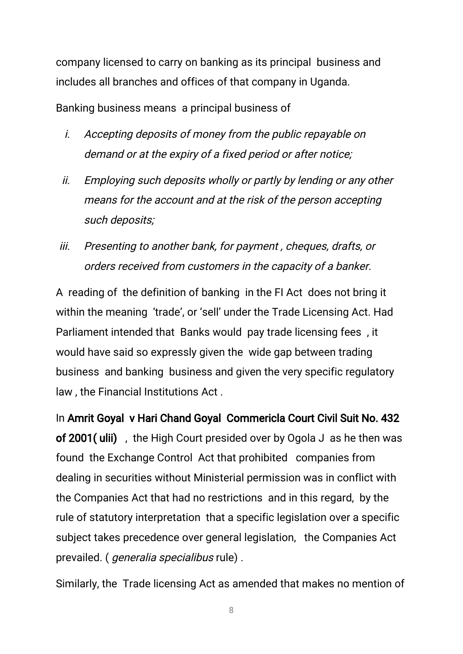company licensed to carry on banking as its principal business and includes all branches and offices of that company in Uganda.

Banking business means a principal business of

- *i.* Accepting deposits of money from the public repayable on demand or at the expiry of a fixed period or after notice;
- ii. Employing such deposits wholly or partly by lending or any other means for the account and at the risk of the person accepting such deposits;
- iii. Presenting to another bank, for payment, cheques, drafts, or orders received from customers in the capacity of a banker.

A reading of the definition of banking in the FI Act does not bring it within the meaning 'trade', or 'sell' under the Trade Licensing Act. Had Parliament intended that Banks would pay trade licensing fees, it would have said so expressly given the wide gap between trading business and banking business and given the very specific regulatory law, the Financial Institutions Act.

In Amrit Goyal v Hari Chand Goyal Commericla Court Civil Suit No. 432 of 2001(ulii), the High Court presided over by Ogola J as he then was found the Exchange Control Act that prohibited companies from dealing in securities without Ministerial permission was in conflict with the Companies Act that had no restrictions and in this regard, by the rule of statutory interpretation that a specific legislation over a specific subject takes precedence over general legislation, the Companies Act prevailed. (*generalia specialibus* rule).

Similarly, the Trade licensing Act as amended that makes no mention of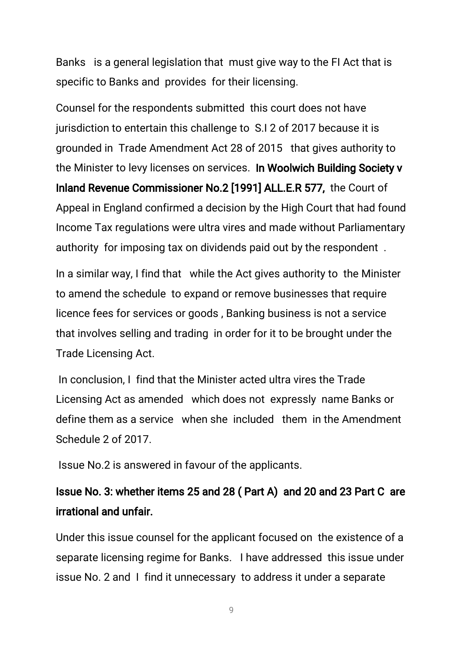Banks is a general legislation that must give way to the FI Act that is specific to Banks and provides for their licensing.

Counsel for the respondents submitted this court does not have jurisdiction to entertain this challenge to S.I 2 of 2017 because it is grounded in Trade Amendment Act 28 of 2015 that gives authority to the Minister to levy licenses on services. In Woolwich Building Society v Inland Revenue Commissioner No.2 [1991] ALL.E.R 577, the Court of Appeal in England confirmed a decision by the High Court that had found Income Tax regulations were ultra vires and made without Parliamentary authority for imposing tax on dividends paid out by the respondent.

In a similar way, I find that while the Act gives authority to the Minister to amend the schedule to expand or remove businesses that require licence fees for services or goods, Banking business is not a service that involves selling and trading in order for it to be brought under the Trade Licensing Act.

In conclusion, I find that the Minister acted ultra vires the Trade Licensing Act as amended which does not expressly name Banks or define them as a service when she included them in the Amendment Schedule 2 of 2017.

Issue No.2 is answered in favour of the applicants.

## Issue No. 3: whether items 25 and 28 (Part A) and 20 and 23 Part C are irrational and unfair.

Under this issue counsel for the applicant focused on the existence of a separate licensing regime for Banks. I have addressed this issue under issue No. 2 and I find it unnecessary to address it under a separate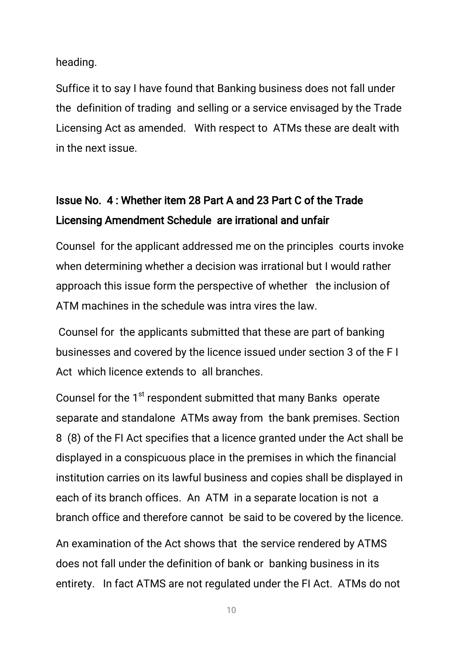heading.

Suffice it to say I have found that Banking business does not fall under the definition of trading and selling or a service envisaged by the Trade Licensing Act as amended. With respect to ATMs these are dealt with in the next issue.

## IssueNo.4:Whetheritem28PartAand23PartCoftheTrade Licensing Amendment Schedule are irrational and unfair

Counsel for the applicant addressed me on the principles courts invoke when determining whether a decision was irrational but I would rather approach this issue form the perspective of whether the inclusion of ATM machines in the schedule was intra vires the law.

Counsel for the applicants submitted that these are part of banking businesses and covered by the licence issued under section 3 of the FI Act which licence extends to all branches

Counsel for the 1<sup>st</sup> respondent submitted that many Banks operate separate and standalone ATMs away from the bank premises. Section 8 (8) of the FI Act specifies that a licence granted under the Act shall be displayed in a conspicuous place in the premises in which the financial institution carries on its lawful business and copies shall be displayed in each of its branch offices. An ATM in a separate location is not a branch office and therefore cannot be said to be covered by the licence.

An examination of the Act shows that the service rendered by ATMS does not fall under the definition of bank or banking business in its entirety. In fact ATMS are not regulated under the FI Act. ATMs do not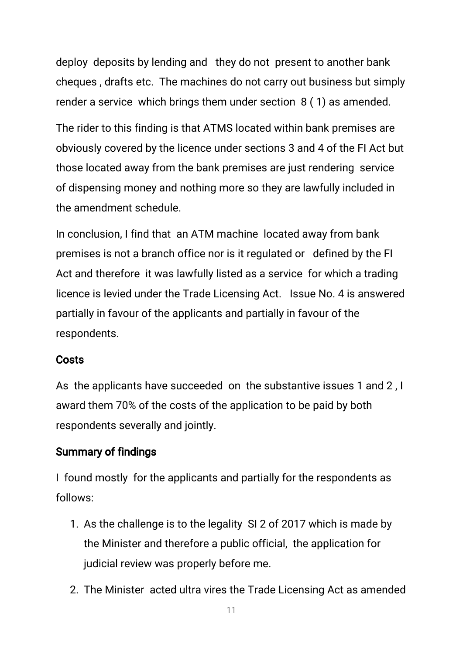deploy deposits by lending and they do not present to another bank cheques, drafts etc. The machines do not carry out business but simply render a service which brings them under section  $8(1)$  as amended.

The rider to this finding is that ATMS located within bank premises are obviously covered by the licence under sections 3 and 4 of the FI Act but those located away from the bank premises are just rendering service of dispensing money and nothing more so they are lawfully included in the amendment schedule.

In conclusion, I find that an ATM machine located away from bank premises is not a branch office nor is it regulated or defined by the FI Act and therefore it was lawfully listed as a service for which a trading licence is levied under the Trade Licensing Act. Issue No. 4 is answered partially in favour of the applicants and partially in favour of the respondents.

### Costs

As the applicants have succeeded on the substantive issues 1 and 2, I award them 70% of the costs of the application to be paid by both respondents severally and jointly.

### **Summary of findings**

I found mostly for the applicants and partially for the respondents as follows:

- 1. As the challenge is to the legality SI 2 of 2017 which is made by the Minister and therefore a public official, the application for judicial review was properly before me.
- 2. The Minister acted ultra vires the Trade Licensing Act as amended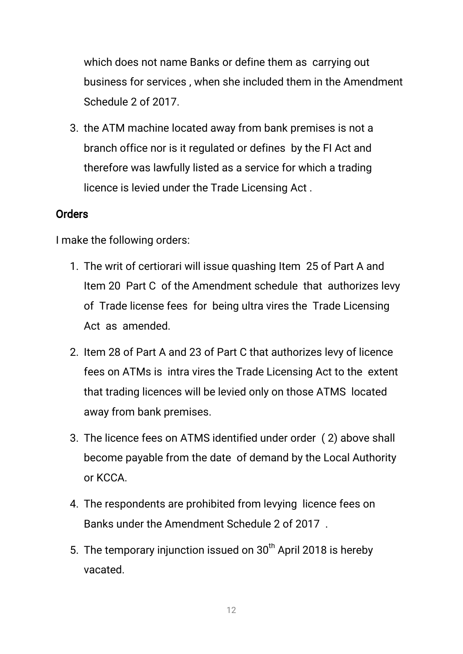which does not name Banks or define them as carrying out business for services, when she included them in the Amendment Schedule 2 of 2017.

3. the ATM machine located away from bank premises is not a branch office nor is it regulated or defines by the FI Act and therefore was lawfully listed as a service for which a trading licence is levied under the Trade Licensing Act.

### **Orders**

I make the following orders:

- 1. The writ of certiorari will issue quashing Item 25 of Part A and Item 20 Part C of the Amendment schedule that authorizes levy of Trade license fees for being ultra vires the Trade Licensing Act as amended.
- 2. Item 28 of Part A and 23 of Part C that authorizes levy of licence fees on ATMs is intra vires the Trade Licensing Act to the extent that trading licences will be levied only on those ATMS located away from bank premises.
- 3. The licence fees on ATMS identified under order (2) above shall become payable from the date of demand by the Local Authority or KCCA.
- 4. The respondents are prohibited from levying licence fees on Banks under the Amendment Schedule 2 of 2017.
- 5. The temporary injunction issued on 30<sup>th</sup> April 2018 is hereby vacated.